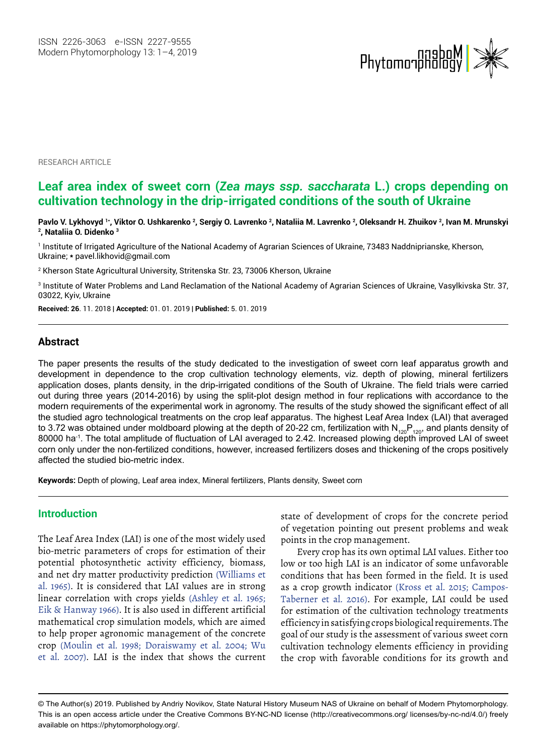

**RESEARCH ARTICLE** 

# **Leaf area index of sweet corn (***Zea mays ssp. saccharata* **L.) crops depending on cultivation technology in the drip-irrigated conditions of the south of Ukraine**

Pavlo V. Lykhovyd <sup>1+</sup>, Viktor O. Ushkarenko <sup>2</sup>, Sergiy O. Lavrenko <sup>2</sup>, Nataliia M. Lavrenko <sup>2</sup>, Oleksandr H. Zhuikov <sup>2</sup>, Ivan M. Mrunskyi **, Nataliia O. Didenko 3**

1 Institute of Irrigated Agriculture of the National Academy of Agrarian Sciences of Ukraine, 73483 Naddniprianske, Kherson, Ukraine; **\*** [pavel.likhovid@gmail.com](mailto:pavel.likhovid@gmail.com)

2 Kherson State Agricultural University, Stritenska Str. 23, 73006 Kherson, Ukraine

3 Institute of Water Problems and Land Reclamation of the National Academy of Agrarian Sciences of Ukraine, Vasylkivska Str. 37, 03022, Kyiv, Ukraine

**Received: 26**. 11. 2018 | **Accepted:** 01. 01. 2019 | **Published:** 5. 01. 2019

#### **Abstract**

The paper presents the results of the study dedicated to the investigation of sweet corn leaf apparatus growth and development in dependence to the crop cultivation technology elements, viz. depth of plowing, mineral fertilizers application doses, plants density, in the drip-irrigated conditions of the South of Ukraine. The field trials were carried out during three years (2014-2016) by using the split-plot design method in four replications with accordance to the modern requirements of the experimental work in agronomy. The results of the study showed the significant effect of all the studied agro technological treatments on the crop leaf apparatus. The highest Leaf Area Index (LAI) that averaged to 3.72 was obtained under moldboard plowing at the depth of 20-22 cm, fertilization with  $N_{120}P_{120}$ , and plants density of 80000 ha<sup>-1</sup>. The total amplitude of fluctuation of LAI averaged to 2.42. Increased plowing depth improved LAI of sweet corn only under the non-fertilized conditions, however, increased fertilizers doses and thickening of the crops positively affected the studied bio-metric index.

**Keywords:** Depth of plowing, Leaf area index, Mineral fertilizers, Plants density, Sweet corn

### **Introduction**

The Leaf Area Index (LAI) is one of the most widely used bio-metric parameters of crops for estimation of their potential photosynthetic activity efficiency, biomass, and net dry matter productivity prediction (Williams et al. 1965). It is considered that LAI values are in strong linear correlation with crops yields (Ashley et al. 1965; Eik & Hanway 1966). It is also used in different artificial mathematical crop simulation models, which are aimed to help proper agronomic management of the concrete crop (Moulin et al. 1998; Doraiswamy et al. 2004; Wu et al. 2007). LAI is the index that shows the current state of development of crops for the concrete period of vegetation pointing out present problems and weak points in the crop management.

Every crop has its own optimal LAI values. Either too low or too high LAI is an indicator of some unfavorable conditions that has been formed in the field. It is used as a crop growth indicator (Kross et al. 2015; Campos-Taberner et al. 2016). For example, LAI could be used for estimation of the cultivation technology treatments efficiency in satisfying crops biological requirements. The goal of our study is the assessment of various sweet corn cultivation technology elements efficiency in providing the crop with favorable conditions for its growth and

<sup>©</sup> The Author(s) 2019. Published by Andriy Novikov, State Natural History Museum NAS of Ukraine on behalf of Modern Phytomorphology. This is an open access article under the Creative Commons BY-NC-ND license (http://creativecommons.org/ licenses/by-nc-nd/4.0/) freely available on https://phytomorphology.org/.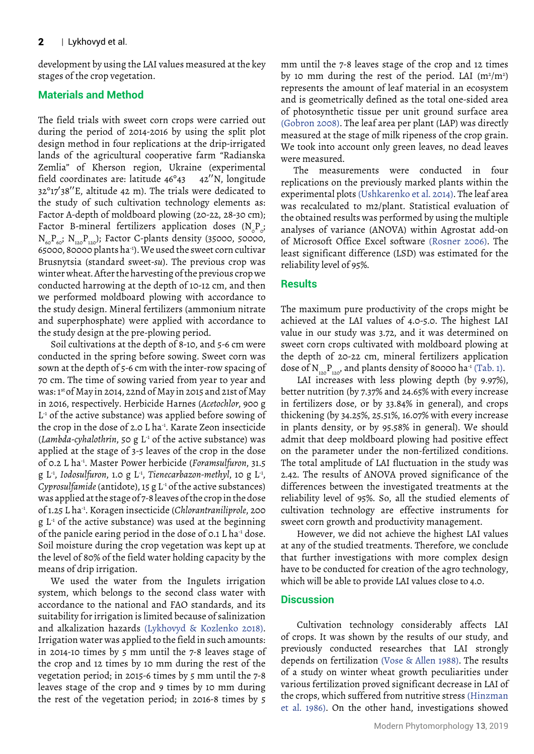development by using the LAI values measured at the key stages of the crop vegetation.

## **Materials and Method**

The field trials with sweet corn crops were carried out during the period of 2014-2016 by using the split plot design method in four replications at the drip-irrigated lands of the agricultural cooperative farm "Radianska Zemlia" of Kherson region, Ukraine (experimental field coordinates are: latitude 46°43 42′′N, longitude 32°17′38′′E, altitude 42 m). The trials were dedicated to the study of such cultivation technology elements as: Factor A-depth of moldboard plowing (20-22, 28-30 cm); Factor B-mineral fertilizers application doses  $(N_{\circ}P_{\circ};$  $N_{60}P_{60}$ ;  $N_{120}P_{120}$ ); Factor C-plants density (35000, 50000, 65000, 80000 plants ha-1). We used the sweet corn cultivar Brusnytsia (standard sweet-*su*). The previous crop was winter wheat. After the harvesting of the previous crop we conducted harrowing at the depth of 10-12 cm, and then we performed moldboard plowing with accordance to the study design. Mineral fertilizers (ammonium nitrate and superphosphate) were applied with accordance to the study design at the pre-plowing period.

Soil cultivations at the depth of 8-10, and 5-6 cm were conducted in the spring before sowing. Sweet corn was sown at the depth of 5-6 cm with the inter-row spacing of 70 cm. The time of sowing varied from year to year and was: 1st of May in 2014, 22nd of May in 2015 and 21st of May in 2016, respectively. Herbicide Harnes (*Acetochlor*, 900 g L<sup>-1</sup> of the active substance) was applied before sowing of the crop in the dose of 2.0 L ha-1. Karate Zeon insecticide (*Lambda-cyhalothrin*, 50 g  $L^1$  of the active substance) was applied at the stage of 3-5 leaves of the crop in the dose of 0.2 L ha-1. Master Power herbicide (*Foramsulfuron*, 31.5 g L-1, *Iodosulfuron*, 1.0 g L-1, *Tienecarbazon-methyl*, 10 g L-1, *Cyprosulfamide* (antidote), 15 g L<sup>-1</sup> of the active substances) was applied at the stage of 7-8 leaves of the crop in the dose of 1.25 L ha-1. Koragen insecticide (*Chlorantraniliprole*, 200  $g L<sup>1</sup>$  of the active substance) was used at the beginning of the panicle earing period in the dose of 0.1 L ha-1 dose. Soil moisture during the crop vegetation was kept up at the level of 80% of the field water holding capacity by the means of drip irrigation.

We used the water from the Ingulets irrigation system, which belongs to the second class water with accordance to the national and FAO standards, and its suitability for irrigation is limited because of salinization and alkalization hazards (Lykhovyd & Kozlenko 2018). Irrigation water was applied to the field in such amounts: in 2014-10 times by 5 mm until the 7-8 leaves stage of the crop and 12 times by 10 mm during the rest of the vegetation period; in 2015-6 times by 5 mm until the 7-8 leaves stage of the crop and 9 times by 10 mm during the rest of the vegetation period; in 2016-8 times by 5

mm until the 7-8 leaves stage of the crop and 12 times by 10 mm during the rest of the period. LAI  $(m^2/m^2)$ represents the amount of leaf material in an ecosystem and is geometrically defined as the total one-sided area of photosynthetic tissue per unit ground surface area (Gobron 2008). The leaf area per plant (LAP) was directly measured at the stage of milk ripeness of the crop grain. We took into account only green leaves, no dead leaves were measured.

The measurements were conducted in four replications on the previously marked plants within the experimental plots (Ushkarenko et al. 2014). The leaf area was recalculated to m2/plant. Statistical evaluation of the obtained results was performed by using the multiple analyses of variance (ANOVA) within Agrostat add-on of Microsoft Office Excel software (Rosner 2006). The least significant difference (LSD) was estimated for the reliability level of 95%.

## **Results**

The maximum pure productivity of the crops might be achieved at the LAI values of 4.0-5.0. The highest LAI value in our study was 3.72, and it was determined on sweet corn crops cultivated with moldboard plowing at the depth of 20-22 cm, mineral fertilizers application dose of  $N_{120}P_{120}$ , and plants density of 80000 ha<sup>-1</sup> (Tab. 1).

LAI increases with less plowing depth (by 9.97%), better nutrition (by 7.37% and 24.65% with every increase in fertilizers dose, or by 33.84% in general), and crops thickening (by 34.25%, 25.51%, 16.07% with every increase in plants density, or by 95.58% in general). We should admit that deep moldboard plowing had positive effect on the parameter under the non-fertilized conditions. The total amplitude of LAI fluctuation in the study was 2.42. The results of ANOVA proved significance of the differences between the investigated treatments at the reliability level of 95%. So, all the studied elements of cultivation technology are effective instruments for sweet corn growth and productivity management.

However, we did not achieve the highest LAI values at any of the studied treatments. Therefore, we conclude that further investigations with more complex design have to be conducted for creation of the agro technology, which will be able to provide LAI values close to 4.0.

## **Discussion**

Cultivation technology considerably affects LAI of crops. It was shown by the results of our study, and previously conducted researches that LAI strongly depends on fertilization (Vose & Allen 1988). The results of a study on winter wheat growth peculiarities under various fertilization proved significant decrease in LAI of the crops, which suffered from nutritive stress (Hinzman et al. 1986). On the other hand, investigations showed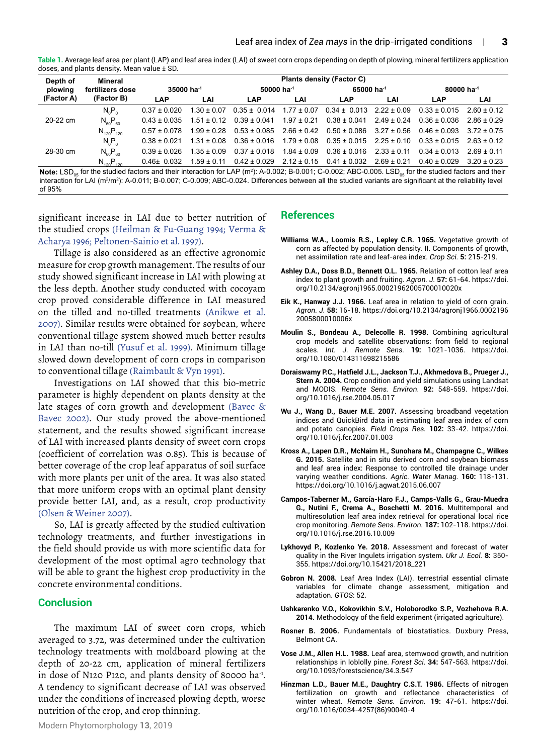**Table 1.** Average leaf area per plant (LAP) and leaf area index (LAI) of sweet corn crops depending on depth of plowing, mineral fertilizers application doses, and plants density. Mean value ± SD.

| Depth of        | Mineral<br>fertilizers dose                                                                                                                                                                                                                    | Plants density (Factor C) |                 |                    |                 |                                  |                 |                        |                 |  |
|-----------------|------------------------------------------------------------------------------------------------------------------------------------------------------------------------------------------------------------------------------------------------|---------------------------|-----------------|--------------------|-----------------|----------------------------------|-----------------|------------------------|-----------------|--|
| plowing         |                                                                                                                                                                                                                                                | $35000$ ha $-1$           |                 | $50000$ ha $^{-1}$ |                 | 65000 ha <sup>-1</sup>           |                 | 80000 ha <sup>-1</sup> |                 |  |
| (Factor A)      | (Factor B)                                                                                                                                                                                                                                     | <b>LAP</b>                | LAI             | <b>LAP</b>         | LAI             | <b>LAP</b>                       | LAI             | LAP                    | LAI             |  |
| 20-22 cm        | $N_0P_0$                                                                                                                                                                                                                                       | $0.37 \pm 0.020$          | $1.30 \pm 0.07$ | $0.35 \pm 0.014$   | $1.77 \pm 0.07$ | $0.34 \pm 0.013$ $2.22 \pm 0.09$ |                 | $0.33 \pm 0.015$       | $2.60 \pm 0.12$ |  |
|                 | $N_{60}P_{60}$                                                                                                                                                                                                                                 | $0.43 \pm 0.035$          | $1.51 \pm 0.12$ | $0.39 \pm 0.041$   | $1.97 \pm 0.21$ | $0.38 \pm 0.041$                 | $2.49 \pm 0.24$ | $0.36 \pm 0.036$       | $2.86 \pm 0.29$ |  |
|                 | $N_{120}P_{120}$                                                                                                                                                                                                                               | $0.57 + 0.078$            | $1.99 \pm 0.28$ | $0.53 \pm 0.085$   | $2.66 \pm 0.42$ | $0.50\pm0.086$                   | $3.27 \pm 0.56$ | $0.46 \pm 0.093$       | $372 + 075$     |  |
| 28-30 cm        | $N_0P_0$                                                                                                                                                                                                                                       | $0.38 \pm 0.021$          | $1.31 \pm 0.08$ | $0.36 \pm 0.016$   | $1.79 \pm 0.08$ | $0.35 \pm 0.015$ $2.25 \pm 0.10$ |                 | $0.33 \pm 0.015$       | $2.63 \pm 0.12$ |  |
|                 | $N_{60}P_{60}$                                                                                                                                                                                                                                 | $0.39 + 0.026$            | $1.35 + 0.09$   | $0.37 \pm 0.018$   | $1.84 \pm 0.09$ | $0.36 \pm 0.016$                 | $2.33 \pm 0.11$ | $0.34 \pm 0.013$       | $2.69 \pm 0.11$ |  |
|                 | $N_{120}P_{120}$                                                                                                                                                                                                                               | $0.46 \pm 0.032$          | $1.59 \pm 0.11$ | $0.42 \pm 0.029$   | $2.12 \pm 0.15$ | $0.41 \pm 0.032$                 | $2.69 \pm 0.21$ | $0.40 \pm 0.029$       | $3.20 \pm 0.23$ |  |
| $M$ oto: $\Box$ | for the studied factors and their interaction for $[AD/m2)$ ; $A=0.002$ ; $B=0.001$ ; $C=0.002$ ; $ABC=0.005$ , $IC=0.005$ ; $IC=0.005$ ; $C=0.005$ ; $C=0.005$ ; $C=0.005$ ; $C=0.005$ ; $C=0.005$ ; $C=0.005$ ; $C=0.005$ ; $C=0.005$ ; $C=$ |                           |                 |                    |                 |                                  |                 |                        |                 |  |

<code>Note: LSD</code><sub>os</sub> for the studied factors and their interaction for LAP (m²): A-0.002; B-0.001; C-0.002; ABC-0.005. LSD<sub>os</sub> for the studied factors and their interaction for LAI (m²/m²): A-0.011; B-0.007; C-0.009; ABC-0.024. Differences between all the studied variants are significant at the reliability level of 95%

significant increase in LAI due to better nutrition of the studied crops (Heilman & Fu-Guang 1994; Verma & Acharya 1996; Peltonen-Sainio et al. 1997).

Tillage is also considered as an effective agronomic measure for crop growth management. The results of our study showed significant increase in LAI with plowing at the less depth. Another study conducted with cocoyam crop proved considerable difference in LAI measured on the tilled and no-tilled treatments (Anikwe et al. 2007). Similar results were obtained for soybean, where conventional tillage system showed much better results in LAI than no-till (Yusuf et al. 1999). Minimum tillage slowed down development of corn crops in comparison to conventional tillage (Raimbault & Vyn 1991).

Investigations on LAI showed that this bio-metric parameter is highly dependent on plants density at the late stages of corn growth and development (Bavec & Bavec 2002). Our study proved the above-mentioned statement, and the results showed significant increase of LAI with increased plants density of sweet corn crops (coefficient of correlation was 0.85). This is because of better coverage of the crop leaf apparatus of soil surface with more plants per unit of the area. It was also stated that more uniform crops with an optimal plant density provide better LAI, and, as a result, crop productivity (Olsen & Weiner 2007).

So, LAI is greatly affected by the studied cultivation technology treatments, and further investigations in the field should provide us with more scientific data for development of the most optimal agro technology that will be able to grant the highest crop productivity in the concrete environmental conditions.

#### **Conclusion**

The maximum LAI of sweet corn crops, which averaged to 3.72, was determined under the cultivation technology treatments with moldboard plowing at the depth of 20-22 cm, application of mineral fertilizers in dose of N120 P120, and plants density of 80000 ha-1. A tendency to significant decrease of LAI was observed under the conditions of increased plowing depth, worse nutrition of the crop, and crop thinning.

## **References**

- **Williams W.A., Loomis R.S., Lepley C.R. 1965.** Vegetative growth of corn as affected by population density. II. Components of growth, net assimilation rate and leaf-area index. *Crop Sci.* **5:** 215-219.
- **Ashley D.A., Doss B.D., Bennett O.L. 1965.** Relation of cotton leaf area index to plant growth and fruiting. *Agron. J.* **57:** 61-64. https://doi. org/10.2134/agronj1965.00021962005700010020x
- **Eik K., Hanway J.J. 1966.** Leaf area in relation to yield of corn grain. *Agron. J.* **58:** 16-18. https://doi.org/10.2134/agronj1966.0002196 2005800010006x
- **Moulin S., Bondeau A., Delecolle R. 1998.** Combining agricultural crop models and satellite observations: from field to regional scales. *Int. J. Remote Sens.* **19:** 1021-1036. https://doi. org/10.1080/014311698215586
- **Doraiswamy P.C., Hatfield J.L., Jackson T.J., Akhmedova B., Prueger J., Stern A. 2004.** Crop condition and yield simulations using Landsat and MODIS. *Remote Sens. Environ*. **92:** 548-559. https://doi. org/10.1016/j.rse.2004.05.017
- **Wu J., Wang D., Bauer M.E. 2007.** Assessing broadband vegetation indices and QuickBird data in estimating leaf area index of corn and potato canopies. *Field Crops Res.* **102:** 33-42. https://doi. org/10.1016/j.fcr.2007.01.003
- **Kross A., Lapen D.R., McNairn H., Sunohara M., Champagne C., Wilkes G. 2015.** Satellite and in situ derived corn and soybean biomass and leaf area index: Response to controlled tile drainage under varying weather conditions. *Agric. Water Manag.* **160:** 118-131. https://doi.org/10.1016/j.agwat.2015.06.007
- **Campos-Taberner M., García-Haro F.J., Camps-Valls G., Grau-Muedra G., Nutini F., Crema A., Boschetti M. 2016.** Multitemporal and multiresolution leaf area index retrieval for operational local rice crop monitoring. *Remote Sens. Environ.* **187:** 102-118. https://doi. org/10.1016/j.rse.2016.10.009
- **Lykhovyd P., Kozlenko Ye. 2018.** Assessment and forecast of water quality in the River Ingulets irrigation system. *Ukr J. Ecol.* **8:** 350- 355. https://doi.org/10.15421/2018\_221
- **Gobron N. 2008.** Leaf Area Index (LAI). terrestrial essential climate variables for climate change assessment, mitigation and adaptation. *GTOS*: 52.
- **Ushkarenko V.O., Kokovikhin S.V., Holoborodko S.P., Vozhehova R.A. 2014.** Methodology of the field experiment (irrigated agriculture).
- **Rosner B. 2006.** Fundamentals of biostatistics. Duxbury Press, Belmont CA.
- **Vose J.M., Allen H.L. 1988.** Leaf area, stemwood growth, and nutrition relationships in loblolly pine. *Forest Sci.* **34:** 547-563. https://doi. org/10.1093/forestscience/34.3.547
- **Hinzman L.D., Bauer M.E., Daughtry C.S.T. 1986.** Effects of nitrogen fertilization on growth and reflectance characteristics of winter wheat. *Remote Sens. Environ.* **19:** 47-61. https://doi. org/10.1016/0034-4257(86)90040-4